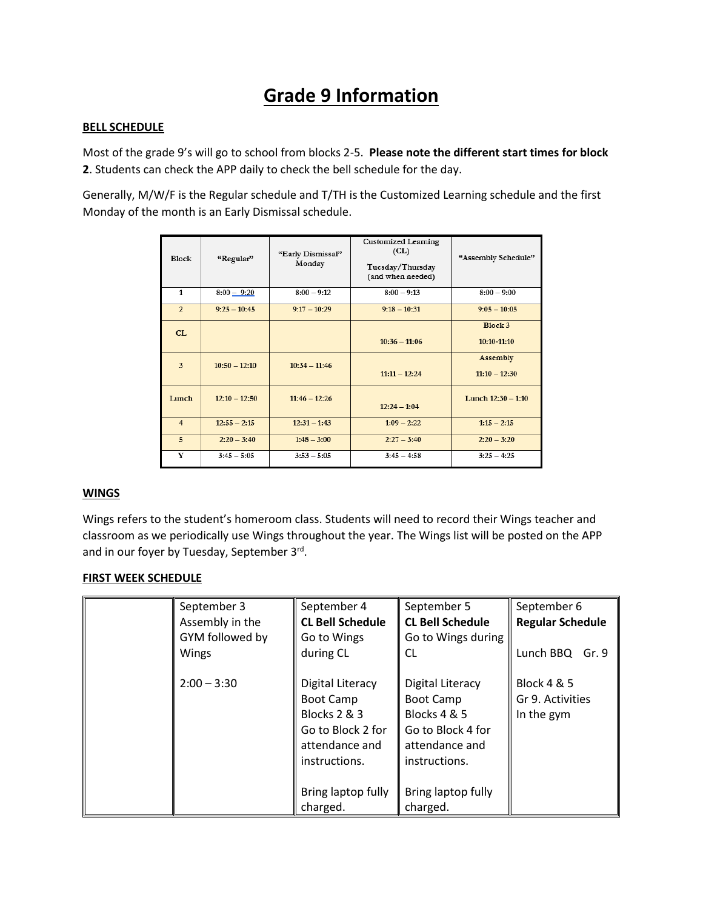# **Grade 9 Information**

### **BELL SCHEDULE**

Most of the grade 9's will go to school from blocks 2-5. **Please note the different start times for block 2**. Students can check the APP daily to check the bell schedule for the day.

Generally, M/W/F is the Regular schedule and T/TH is the Customized Learning schedule and the first Monday of the month is an Early Dismissal schedule.

| <b>Block</b>   | "Regular"       | "Early Dismissal"<br>Monday | <b>Customized Learning</b><br>CL)<br>Tuesday/Thursday<br>(and when needed) | "Assembly Schedule"         |
|----------------|-----------------|-----------------------------|----------------------------------------------------------------------------|-----------------------------|
| $\mathbf{1}$   | $8:00 - 9:20$   | $8:00 - 9:12$               | $8:00 - 9:13$                                                              | $8:00 - 9:00$               |
| $\overline{2}$ | $9:25 - 10:45$  | $9:17 - 10:29$              | $9:18 - 10:31$                                                             | $9:05 - 10:05$              |
| CL             |                 |                             | $10:36 - 11:06$                                                            | Block 3<br>10:10-11:10      |
| 3              | $10:50 - 12:10$ | $10:34 - 11:46$             | $11:11 - 12:24$                                                            | Assembly<br>$11:10 - 12:30$ |
| Lunch          | $12:10 - 12:50$ | $11:46 - 12:26$             | $12:24 - 1:04$                                                             | Lunch $12:30 - 1:10$        |
| $\overline{4}$ | $12:55 - 2:15$  | $12:31 - 1:43$              | $1:09 - 2:22$                                                              | $1:15 - 2:15$               |
| $\overline{5}$ | $2:20 - 3:40$   | $1:48 - 3:00$               | $2:27 - 3:40$                                                              | $2:20 - 3:20$               |
| Y              | $3:45 - 5:05$   | $3:53 - 5:05$               | $3:45 - 4:58$                                                              | $3:25 - 4:25$               |

# **WINGS**

Wings refers to the student's homeroom class. Students will need to record their Wings teacher and classroom as we periodically use Wings throughout the year. The Wings list will be posted on the APP and in our foyer by Tuesday, September 3<sup>rd</sup>.

#### **FIRST WEEK SCHEDULE**

| September 3<br>Assembly in the<br>GYM followed by<br>Wings | September 4<br><b>CL Bell Schedule</b><br>Go to Wings<br>during CL                                                      | September 5<br><b>CL Bell Schedule</b><br>Go to Wings during<br>CL.                                          | September 6<br><b>Regular Schedule</b><br>Lunch BBQ<br>Gr. 9 |
|------------------------------------------------------------|-------------------------------------------------------------------------------------------------------------------------|--------------------------------------------------------------------------------------------------------------|--------------------------------------------------------------|
| $2:00 - 3:30$                                              | Digital Literacy<br><b>Boot Camp</b><br><b>Blocks 2 &amp; 3</b><br>Go to Block 2 for<br>attendance and<br>instructions. | Digital Literacy<br><b>Boot Camp</b><br>Blocks 4 & 5<br>Go to Block 4 for<br>attendance and<br>instructions. | <b>Block 4 &amp; 5</b><br>Gr 9. Activities<br>In the gym     |
|                                                            | Bring laptop fully<br>charged.                                                                                          | Bring laptop fully<br>charged.                                                                               |                                                              |